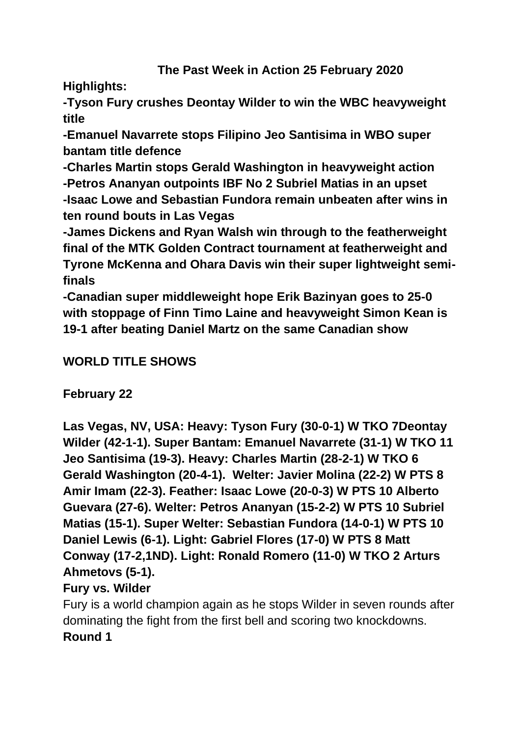**Highlights:**

**-Tyson Fury crushes Deontay Wilder to win the WBC heavyweight title**

**-Emanuel Navarrete stops Filipino Jeo Santisima in WBO super bantam title defence**

**-Charles Martin stops Gerald Washington in heavyweight action -Petros Ananyan outpoints IBF No 2 Subriel Matias in an upset -Isaac Lowe and Sebastian Fundora remain unbeaten after wins in ten round bouts in Las Vegas**

**-James Dickens and Ryan Walsh win through to the featherweight final of the MTK Golden Contract tournament at featherweight and Tyrone McKenna and Ohara Davis win their super lightweight semifinals**

**-Canadian super middleweight hope Erik Bazinyan goes to 25-0 with stoppage of Finn Timo Laine and heavyweight Simon Kean is 19-1 after beating Daniel Martz on the same Canadian show**

# **WORLD TITLE SHOWS**

**February 22**

**Las Vegas, NV, USA: Heavy: Tyson Fury (30-0-1) W TKO 7Deontay Wilder (42-1-1). Super Bantam: Emanuel Navarrete (31-1) W TKO 11 Jeo Santisima (19-3). Heavy: Charles Martin (28-2-1) W TKO 6 Gerald Washington (20-4-1). Welter: Javier Molina (22-2) W PTS 8 Amir Imam (22-3). Feather: Isaac Lowe (20-0-3) W PTS 10 Alberto Guevara (27-6). Welter: Petros Ananyan (15-2-2) W PTS 10 Subriel Matias (15-1). Super Welter: Sebastian Fundora (14-0-1) W PTS 10 Daniel Lewis (6-1). Light: Gabriel Flores (17-0) W PTS 8 Matt Conway (17-2,1ND). Light: Ronald Romero (11-0) W TKO 2 Arturs Ahmetovs (5-1).** 

# **Fury vs. Wilder**

Fury is a world champion again as he stops Wilder in seven rounds after dominating the fight from the first bell and scoring two knockdowns. **Round 1**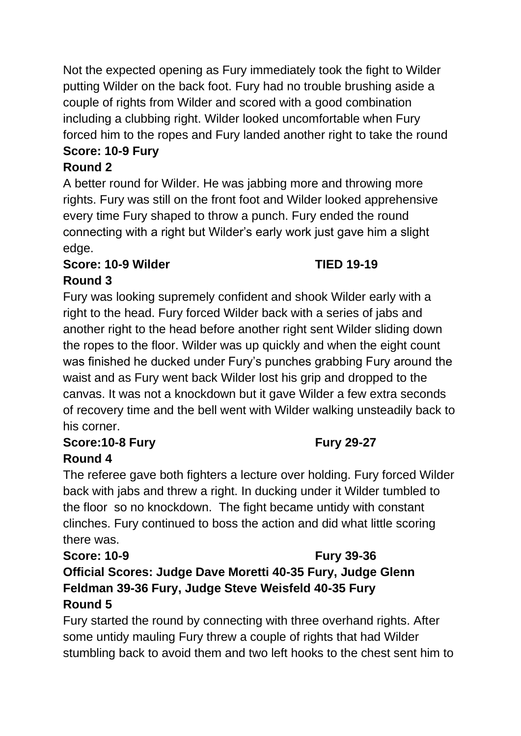Not the expected opening as Fury immediately took the fight to Wilder putting Wilder on the back foot. Fury had no trouble brushing aside a couple of rights from Wilder and scored with a good combination including a clubbing right. Wilder looked uncomfortable when Fury forced him to the ropes and Fury landed another right to take the round

# **Score: 10-9 Fury**

# **Round 2**

A better round for Wilder. He was jabbing more and throwing more rights. Fury was still on the front foot and Wilder looked apprehensive every time Fury shaped to throw a punch. Fury ended the round connecting with a right but Wilder's early work just gave him a slight edge.

# **Score: 10-9 Wilder TIED 19-19**

# **Round 3**

Fury was looking supremely confident and shook Wilder early with a right to the head. Fury forced Wilder back with a series of jabs and another right to the head before another right sent Wilder sliding down the ropes to the floor. Wilder was up quickly and when the eight count was finished he ducked under Fury's punches grabbing Fury around the waist and as Fury went back Wilder lost his grip and dropped to the canvas. It was not a knockdown but it gave Wilder a few extra seconds of recovery time and the bell went with Wilder walking unsteadily back to his corner.

# **Score:10-8 Fury Fury 29-27**

# **Round 4**

The referee gave both fighters a lecture over holding. Fury forced Wilder back with jabs and threw a right. In ducking under it Wilder tumbled to the floor so no knockdown. The fight became untidy with constant clinches. Fury continued to boss the action and did what little scoring there was.

# **Score: 10-9 Fury 39-36**

# **Official Scores: Judge Dave Moretti 40-35 Fury, Judge Glenn Feldman 39-36 Fury, Judge Steve Weisfeld 40-35 Fury Round 5**

Fury started the round by connecting with three overhand rights. After some untidy mauling Fury threw a couple of rights that had Wilder stumbling back to avoid them and two left hooks to the chest sent him to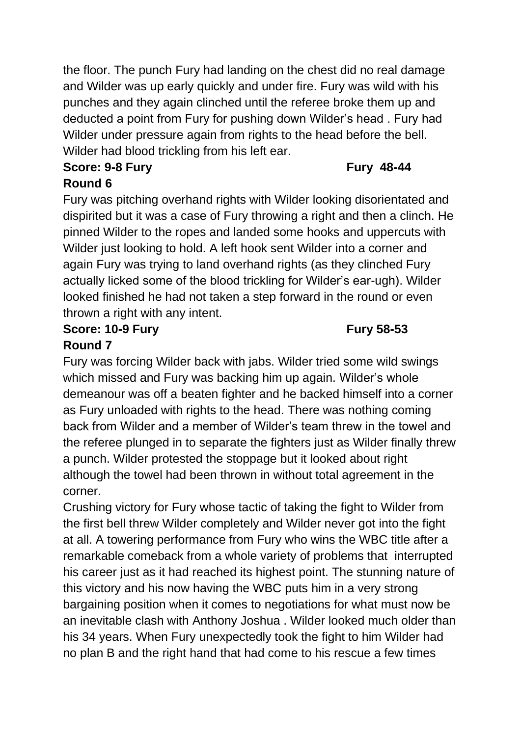the floor. The punch Fury had landing on the chest did no real damage and Wilder was up early quickly and under fire. Fury was wild with his punches and they again clinched until the referee broke them up and deducted a point from Fury for pushing down Wilder's head . Fury had Wilder under pressure again from rights to the head before the bell. Wilder had blood trickling from his left ear.

### **Score: 9-8 Fury Fury 48-44 Round 6**

Fury was pitching overhand rights with Wilder looking disorientated and dispirited but it was a case of Fury throwing a right and then a clinch. He pinned Wilder to the ropes and landed some hooks and uppercuts with Wilder just looking to hold. A left hook sent Wilder into a corner and again Fury was trying to land overhand rights (as they clinched Fury actually licked some of the blood trickling for Wilder's ear-ugh). Wilder looked finished he had not taken a step forward in the round or even thrown a right with any intent.

#### **Score: 10-9 Fury Fury 58-53 Round 7**

Fury was forcing Wilder back with jabs. Wilder tried some wild swings which missed and Fury was backing him up again. Wilder's whole demeanour was off a beaten fighter and he backed himself into a corner as Fury unloaded with rights to the head. There was nothing coming back from Wilder and a member of Wilder's team threw in the towel and the referee plunged in to separate the fighters just as Wilder finally threw a punch. Wilder protested the stoppage but it looked about right although the towel had been thrown in without total agreement in the corner.

Crushing victory for Fury whose tactic of taking the fight to Wilder from the first bell threw Wilder completely and Wilder never got into the fight at all. A towering performance from Fury who wins the WBC title after a remarkable comeback from a whole variety of problems that interrupted his career just as it had reached its highest point. The stunning nature of this victory and his now having the WBC puts him in a very strong bargaining position when it comes to negotiations for what must now be an inevitable clash with Anthony Joshua . Wilder looked much older than his 34 years. When Fury unexpectedly took the fight to him Wilder had no plan B and the right hand that had come to his rescue a few times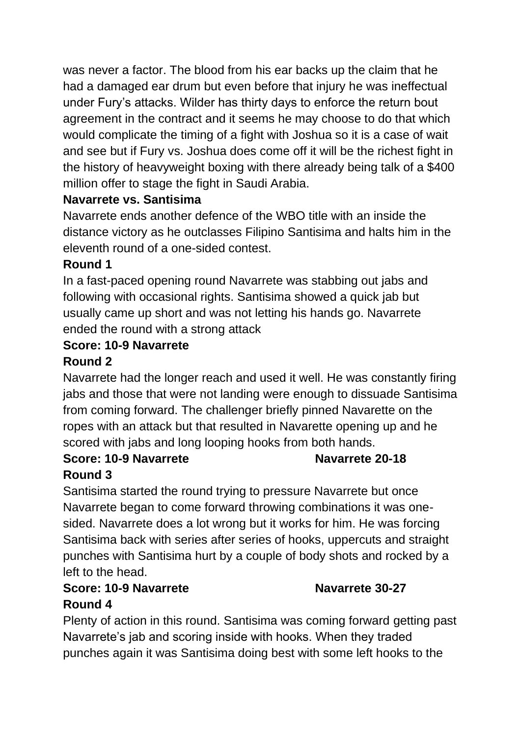was never a factor. The blood from his ear backs up the claim that he had a damaged ear drum but even before that injury he was ineffectual under Fury's attacks. Wilder has thirty days to enforce the return bout agreement in the contract and it seems he may choose to do that which would complicate the timing of a fight with Joshua so it is a case of wait and see but if Fury vs. Joshua does come off it will be the richest fight in the history of heavyweight boxing with there already being talk of a \$400 million offer to stage the fight in Saudi Arabia.

### **Navarrete vs. Santisima**

Navarrete ends another defence of the WBO title with an inside the distance victory as he outclasses Filipino Santisima and halts him in the eleventh round of a one-sided contest.

# **Round 1**

In a fast-paced opening round Navarrete was stabbing out jabs and following with occasional rights. Santisima showed a quick jab but usually came up short and was not letting his hands go. Navarrete ended the round with a strong attack

### **Score: 10-9 Navarrete**

### **Round 2**

Navarrete had the longer reach and used it well. He was constantly firing jabs and those that were not landing were enough to dissuade Santisima from coming forward. The challenger briefly pinned Navarette on the ropes with an attack but that resulted in Navarette opening up and he scored with jabs and long looping hooks from both hands.

# **Score: 10-9 Navarrete Navarrete 20-18**

### **Round 3**

Santisima started the round trying to pressure Navarrete but once Navarrete began to come forward throwing combinations it was onesided. Navarrete does a lot wrong but it works for him. He was forcing Santisima back with series after series of hooks, uppercuts and straight punches with Santisima hurt by a couple of body shots and rocked by a left to the head.

# **Score: 10-9 Navarrete Navarrete 30-27 Round 4**

Plenty of action in this round. Santisima was coming forward getting past Navarrete's jab and scoring inside with hooks. When they traded punches again it was Santisima doing best with some left hooks to the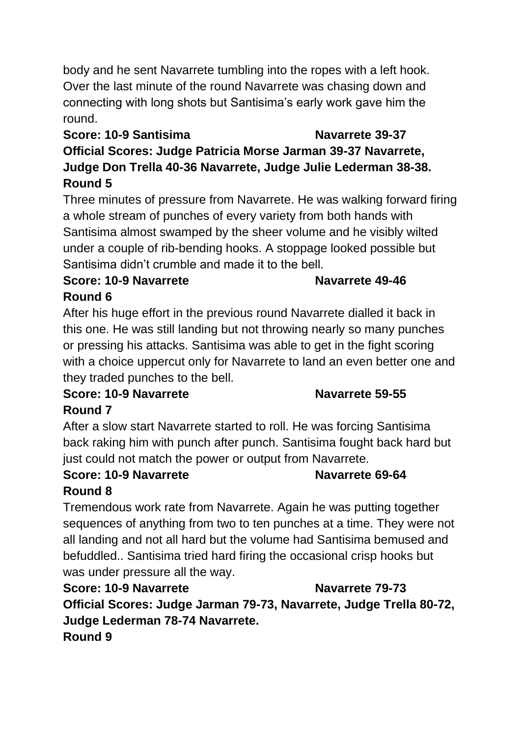body and he sent Navarrete tumbling into the ropes with a left hook. Over the last minute of the round Navarrete was chasing down and connecting with long shots but Santisima's early work gave him the round.

# **Score: 10-9 Santisima Navarrete 39-37**

**Official Scores: Judge Patricia Morse Jarman 39-37 Navarrete, Judge Don Trella 40-36 Navarrete, Judge Julie Lederman 38-38. Round 5**

Three minutes of pressure from Navarrete. He was walking forward firing a whole stream of punches of every variety from both hands with Santisima almost swamped by the sheer volume and he visibly wilted under a couple of rib-bending hooks. A stoppage looked possible but Santisima didn't crumble and made it to the bell.

### **Score: 10-9 Navarrete Navarrete 49-46 Round 6**

After his huge effort in the previous round Navarrete dialled it back in this one. He was still landing but not throwing nearly so many punches or pressing his attacks. Santisima was able to get in the fight scoring with a choice uppercut only for Navarrete to land an even better one and they traded punches to the bell.

#### **Score: 10-9 Navarrete Navarrete 59-55 Round 7**

After a slow start Navarrete started to roll. He was forcing Santisima back raking him with punch after punch. Santisima fought back hard but just could not match the power or output from Navarrete.

# **Score: 10-9 Navarrete Navarrete 69-64 Round 8**

Tremendous work rate from Navarrete. Again he was putting together sequences of anything from two to ten punches at a time. They were not all landing and not all hard but the volume had Santisima bemused and befuddled.. Santisima tried hard firing the occasional crisp hooks but was under pressure all the way.

**Score: 10-9 Navarrete Navarrete 79-73 Official Scores: Judge Jarman 79-73, Navarrete, Judge Trella 80-72, Judge Lederman 78-74 Navarrete. Round 9**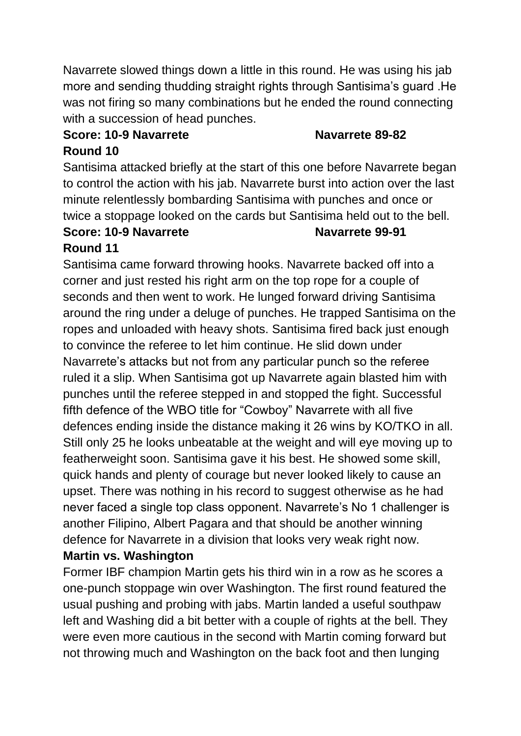Navarrete slowed things down a little in this round. He was using his jab more and sending thudding straight rights through Santisima's guard .He was not firing so many combinations but he ended the round connecting with a succession of head punches.

#### **Score: 10-9 Navarrete Navarrete 89-82**

#### **Round 10**

Santisima attacked briefly at the start of this one before Navarrete began to control the action with his jab. Navarrete burst into action over the last minute relentlessly bombarding Santisima with punches and once or twice a stoppage looked on the cards but Santisima held out to the bell.

#### **Score: 10-9 Navarrete Navarrete 99-91 Round 11**

Santisima came forward throwing hooks. Navarrete backed off into a corner and just rested his right arm on the top rope for a couple of seconds and then went to work. He lunged forward driving Santisima around the ring under a deluge of punches. He trapped Santisima on the ropes and unloaded with heavy shots. Santisima fired back just enough to convince the referee to let him continue. He slid down under Navarrete's attacks but not from any particular punch so the referee ruled it a slip. When Santisima got up Navarrete again blasted him with punches until the referee stepped in and stopped the fight. Successful fifth defence of the WBO title for "Cowboy" Navarrete with all five defences ending inside the distance making it 26 wins by KO/TKO in all. Still only 25 he looks unbeatable at the weight and will eye moving up to featherweight soon. Santisima gave it his best. He showed some skill, quick hands and plenty of courage but never looked likely to cause an upset. There was nothing in his record to suggest otherwise as he had never faced a single top class opponent. Navarrete's No 1 challenger is another Filipino, Albert Pagara and that should be another winning defence for Navarrete in a division that looks very weak right now.

### **Martin vs. Washington**

Former IBF champion Martin gets his third win in a row as he scores a one-punch stoppage win over Washington. The first round featured the usual pushing and probing with jabs. Martin landed a useful southpaw left and Washing did a bit better with a couple of rights at the bell. They were even more cautious in the second with Martin coming forward but not throwing much and Washington on the back foot and then lunging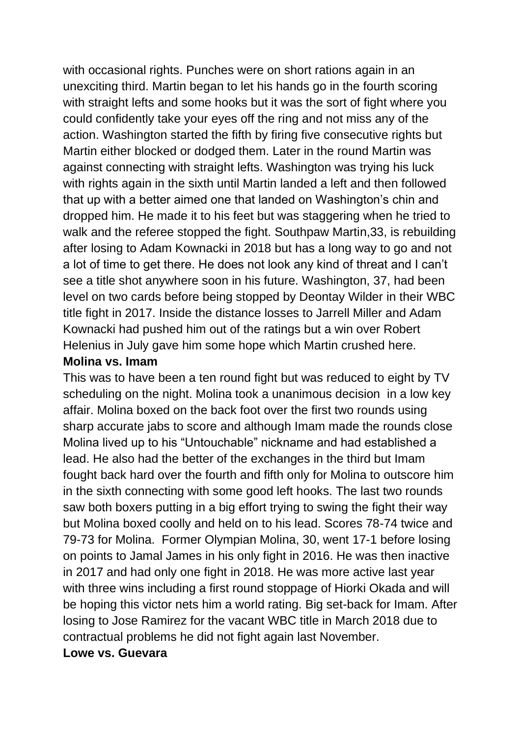with occasional rights. Punches were on short rations again in an unexciting third. Martin began to let his hands go in the fourth scoring with straight lefts and some hooks but it was the sort of fight where you could confidently take your eyes off the ring and not miss any of the action. Washington started the fifth by firing five consecutive rights but Martin either blocked or dodged them. Later in the round Martin was against connecting with straight lefts. Washington was trying his luck with rights again in the sixth until Martin landed a left and then followed that up with a better aimed one that landed on Washington's chin and dropped him. He made it to his feet but was staggering when he tried to walk and the referee stopped the fight. Southpaw Martin,33, is rebuilding after losing to Adam Kownacki in 2018 but has a long way to go and not a lot of time to get there. He does not look any kind of threat and I can't see a title shot anywhere soon in his future. Washington, 37, had been level on two cards before being stopped by Deontay Wilder in their WBC title fight in 2017. Inside the distance losses to Jarrell Miller and Adam Kownacki had pushed him out of the ratings but a win over Robert Helenius in July gave him some hope which Martin crushed here.

#### **Molina vs. Imam**

This was to have been a ten round fight but was reduced to eight by TV scheduling on the night. Molina took a unanimous decision in a low key affair. Molina boxed on the back foot over the first two rounds using sharp accurate jabs to score and although Imam made the rounds close Molina lived up to his "Untouchable" nickname and had established a lead. He also had the better of the exchanges in the third but Imam fought back hard over the fourth and fifth only for Molina to outscore him in the sixth connecting with some good left hooks. The last two rounds saw both boxers putting in a big effort trying to swing the fight their way but Molina boxed coolly and held on to his lead. Scores 78-74 twice and 79-73 for Molina. Former Olympian Molina, 30, went 17-1 before losing on points to Jamal James in his only fight in 2016. He was then inactive in 2017 and had only one fight in 2018. He was more active last year with three wins including a first round stoppage of Hiorki Okada and will be hoping this victor nets him a world rating. Big set-back for Imam. After losing to Jose Ramirez for the vacant WBC title in March 2018 due to contractual problems he did not fight again last November.

#### **Lowe vs. Guevara**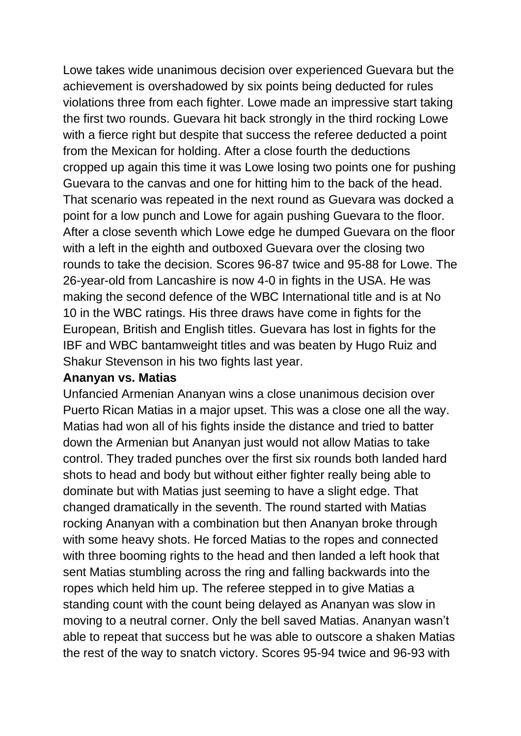Lowe takes wide unanimous decision over experienced Guevara but the achievement is overshadowed by six points being deducted for rules violations three from each fighter. Lowe made an impressive start taking the first two rounds. Guevara hit back strongly in the third rocking Lowe with a fierce right but despite that success the referee deducted a point from the Mexican for holding. After a close fourth the deductions cropped up again this time it was Lowe losing two points one for pushing Guevara to the canvas and one for hitting him to the back of the head. That scenario was repeated in the next round as Guevara was docked a point for a low punch and Lowe for again pushing Guevara to the floor. After a close seventh which Lowe edge he dumped Guevara on the floor with a left in the eighth and outboxed Guevara over the closing two rounds to take the decision. Scores 96-87 twice and 95-88 for Lowe. The 26-year-old from Lancashire is now 4-0 in fights in the USA. He was making the second defence of the WBC International title and is at No 10 in the WBC ratings. His three draws have come in fights for the European, British and English titles. Guevara has lost in fights for the IBF and WBC bantamweight titles and was beaten by Hugo Ruiz and Shakur Stevenson in his two fights last year.

#### **Ananyan vs. Matias**

Unfancied Armenian Ananyan wins a close unanimous decision over Puerto Rican Matias in a major upset. This was a close one all the way. Matias had won all of his fights inside the distance and tried to batter down the Armenian but Ananyan just would not allow Matias to take control. They traded punches over the first six rounds both landed hard shots to head and body but without either fighter really being able to dominate but with Matias just seeming to have a slight edge. That changed dramatically in the seventh. The round started with Matias rocking Ananyan with a combination but then Ananyan broke through with some heavy shots. He forced Matias to the ropes and connected with three booming rights to the head and then landed a left hook that sent Matias stumbling across the ring and falling backwards into the ropes which held him up. The referee stepped in to give Matias a standing count with the count being delayed as Ananyan was slow in moving to a neutral corner. Only the bell saved Matias. Ananyan wasn't able to repeat that success but he was able to outscore a shaken Matias the rest of the way to snatch victory. Scores 95-94 twice and 96-93 with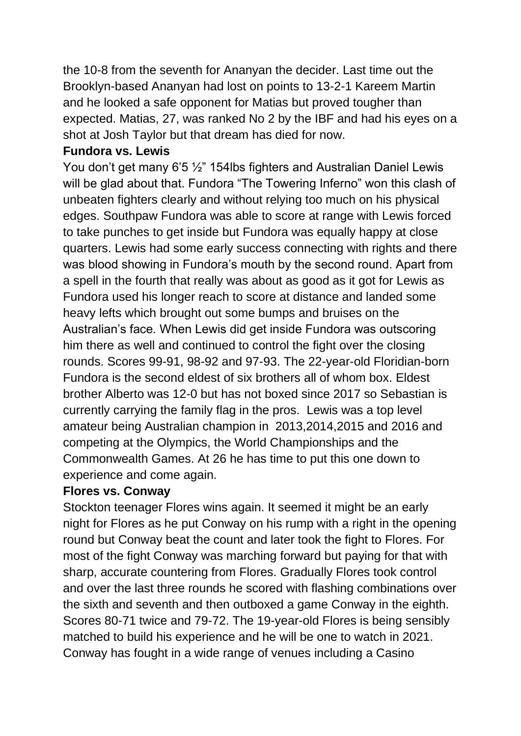the 10-8 from the seventh for Ananyan the decider. Last time out the Brooklyn-based Ananyan had lost on points to 13-2-1 Kareem Martin and he looked a safe opponent for Matias but proved tougher than expected. Matias, 27, was ranked No 2 by the IBF and had his eyes on a shot at Josh Taylor but that dream has died for now.

#### **Fundora vs. Lewis**

You don't get many 6'5 ½" 154lbs fighters and Australian Daniel Lewis will be glad about that. Fundora "The Towering Inferno" won this clash of unbeaten fighters clearly and without relying too much on his physical edges. Southpaw Fundora was able to score at range with Lewis forced to take punches to get inside but Fundora was equally happy at close quarters. Lewis had some early success connecting with rights and there was blood showing in Fundora's mouth by the second round. Apart from a spell in the fourth that really was about as good as it got for Lewis as Fundora used his longer reach to score at distance and landed some heavy lefts which brought out some bumps and bruises on the Australian's face. When Lewis did get inside Fundora was outscoring him there as well and continued to control the fight over the closing rounds. Scores 99-91, 98-92 and 97-93. The 22-year-old Floridian-born Fundora is the second eldest of six brothers all of whom box. Eldest brother Alberto was 12-0 but has not boxed since 2017 so Sebastian is currently carrying the family flag in the pros. Lewis was a top level amateur being Australian champion in 2013,2014,2015 and 2016 and competing at the Olympics, the World Championships and the Commonwealth Games. At 26 he has time to put this one down to experience and come again.

#### **Flores vs. Conway**

Stockton teenager Flores wins again. It seemed it might be an early night for Flores as he put Conway on his rump with a right in the opening round but Conway beat the count and later took the fight to Flores. For most of the fight Conway was marching forward but paying for that with sharp, accurate countering from Flores. Gradually Flores took control and over the last three rounds he scored with flashing combinations over the sixth and seventh and then outboxed a game Conway in the eighth. Scores 80-71 twice and 79-72. The 19-year-old Flores is being sensibly matched to build his experience and he will be one to watch in 2021. Conway has fought in a wide range of venues including a Casino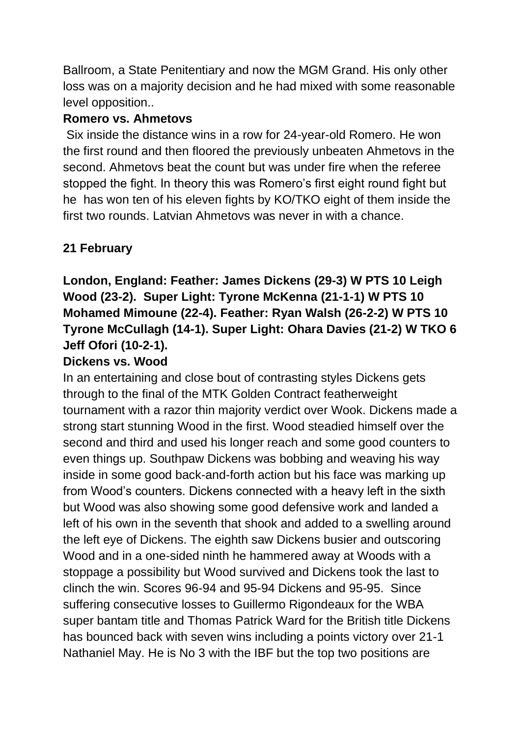Ballroom, a State Penitentiary and now the MGM Grand. His only other loss was on a majority decision and he had mixed with some reasonable level opposition..

#### **Romero vs. Ahmetovs**

Six inside the distance wins in a row for 24-year-old Romero. He won the first round and then floored the previously unbeaten Ahmetovs in the second. Ahmetovs beat the count but was under fire when the referee stopped the fight. In theory this was Romero's first eight round fight but he has won ten of his eleven fights by KO/TKO eight of them inside the first two rounds. Latvian Ahmetovs was never in with a chance.

# **21 February**

# **London, England: Feather: James Dickens (29-3) W PTS 10 Leigh Wood (23-2). Super Light: Tyrone McKenna (21-1-1) W PTS 10 Mohamed Mimoune (22-4). Feather: Ryan Walsh (26-2-2) W PTS 10 Tyrone McCullagh (14-1). Super Light: Ohara Davies (21-2) W TKO 6 Jeff Ofori (10-2-1).**

#### **Dickens vs. Wood**

In an entertaining and close bout of contrasting styles Dickens gets through to the final of the MTK Golden Contract featherweight tournament with a razor thin majority verdict over Wook. Dickens made a strong start stunning Wood in the first. Wood steadied himself over the second and third and used his longer reach and some good counters to even things up. Southpaw Dickens was bobbing and weaving his way inside in some good back-and-forth action but his face was marking up from Wood's counters. Dickens connected with a heavy left in the sixth but Wood was also showing some good defensive work and landed a left of his own in the seventh that shook and added to a swelling around the left eye of Dickens. The eighth saw Dickens busier and outscoring Wood and in a one-sided ninth he hammered away at Woods with a stoppage a possibility but Wood survived and Dickens took the last to clinch the win. Scores 96-94 and 95-94 Dickens and 95-95. Since suffering consecutive losses to Guillermo Rigondeaux for the WBA super bantam title and Thomas Patrick Ward for the British title Dickens has bounced back with seven wins including a points victory over 21-1 Nathaniel May. He is No 3 with the IBF but the top two positions are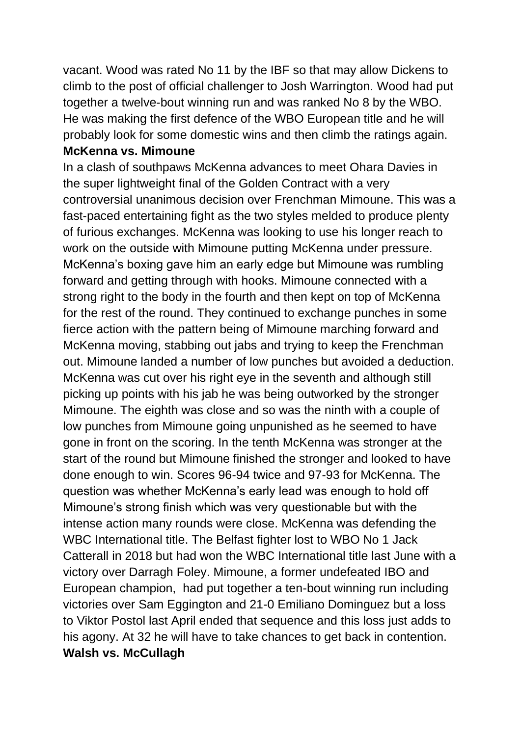vacant. Wood was rated No 11 by the IBF so that may allow Dickens to climb to the post of official challenger to Josh Warrington. Wood had put together a twelve-bout winning run and was ranked No 8 by the WBO. He was making the first defence of the WBO European title and he will probably look for some domestic wins and then climb the ratings again.

#### **McKenna vs. Mimoune**

In a clash of southpaws McKenna advances to meet Ohara Davies in the super lightweight final of the Golden Contract with a very controversial unanimous decision over Frenchman Mimoune. This was a fast-paced entertaining fight as the two styles melded to produce plenty of furious exchanges. McKenna was looking to use his longer reach to work on the outside with Mimoune putting McKenna under pressure. McKenna's boxing gave him an early edge but Mimoune was rumbling forward and getting through with hooks. Mimoune connected with a strong right to the body in the fourth and then kept on top of McKenna for the rest of the round. They continued to exchange punches in some fierce action with the pattern being of Mimoune marching forward and McKenna moving, stabbing out jabs and trying to keep the Frenchman out. Mimoune landed a number of low punches but avoided a deduction. McKenna was cut over his right eye in the seventh and although still picking up points with his jab he was being outworked by the stronger Mimoune. The eighth was close and so was the ninth with a couple of low punches from Mimoune going unpunished as he seemed to have gone in front on the scoring. In the tenth McKenna was stronger at the start of the round but Mimoune finished the stronger and looked to have done enough to win. Scores 96-94 twice and 97-93 for McKenna. The question was whether McKenna's early lead was enough to hold off Mimoune's strong finish which was very questionable but with the intense action many rounds were close. McKenna was defending the WBC International title. The Belfast fighter lost to WBO No 1 Jack Catterall in 2018 but had won the WBC International title last June with a victory over Darragh Foley. Mimoune, a former undefeated IBO and European champion, had put together a ten-bout winning run including victories over Sam Eggington and 21-0 Emiliano Dominguez but a loss to Viktor Postol last April ended that sequence and this loss just adds to his agony. At 32 he will have to take chances to get back in contention. **Walsh vs. McCullagh**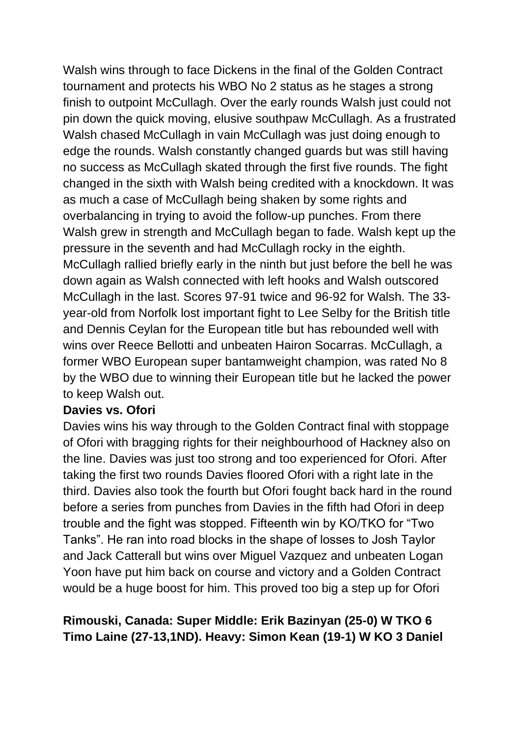Walsh wins through to face Dickens in the final of the Golden Contract tournament and protects his WBO No 2 status as he stages a strong finish to outpoint McCullagh. Over the early rounds Walsh just could not pin down the quick moving, elusive southpaw McCullagh. As a frustrated Walsh chased McCullagh in vain McCullagh was just doing enough to edge the rounds. Walsh constantly changed guards but was still having no success as McCullagh skated through the first five rounds. The fight changed in the sixth with Walsh being credited with a knockdown. It was as much a case of McCullagh being shaken by some rights and overbalancing in trying to avoid the follow-up punches. From there Walsh grew in strength and McCullagh began to fade. Walsh kept up the pressure in the seventh and had McCullagh rocky in the eighth. McCullagh rallied briefly early in the ninth but just before the bell he was down again as Walsh connected with left hooks and Walsh outscored McCullagh in the last. Scores 97-91 twice and 96-92 for Walsh. The 33 year-old from Norfolk lost important fight to Lee Selby for the British title and Dennis Ceylan for the European title but has rebounded well with wins over Reece Bellotti and unbeaten Hairon Socarras. McCullagh, a former WBO European super bantamweight champion, was rated No 8 by the WBO due to winning their European title but he lacked the power to keep Walsh out.

#### **Davies vs. Ofori**

Davies wins his way through to the Golden Contract final with stoppage of Ofori with bragging rights for their neighbourhood of Hackney also on the line. Davies was just too strong and too experienced for Ofori. After taking the first two rounds Davies floored Ofori with a right late in the third. Davies also took the fourth but Ofori fought back hard in the round before a series from punches from Davies in the fifth had Ofori in deep trouble and the fight was stopped. Fifteenth win by KO/TKO for "Two Tanks". He ran into road blocks in the shape of losses to Josh Taylor and Jack Catterall but wins over Miguel Vazquez and unbeaten Logan Yoon have put him back on course and victory and a Golden Contract would be a huge boost for him. This proved too big a step up for Ofori

### **Rimouski, Canada: Super Middle: Erik Bazinyan (25-0) W TKO 6 Timo Laine (27-13,1ND). Heavy: Simon Kean (19-1) W KO 3 Daniel**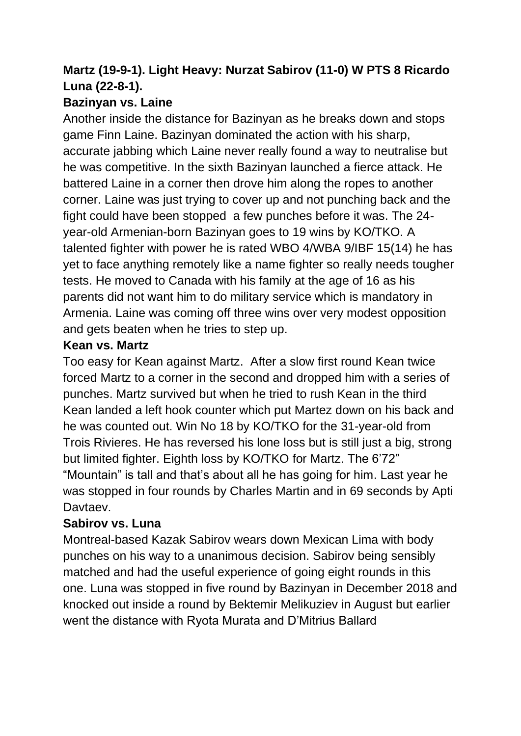# **Martz (19-9-1). Light Heavy: Nurzat Sabirov (11-0) W PTS 8 Ricardo Luna (22-8-1).**

## **Bazinyan vs. Laine**

Another inside the distance for Bazinyan as he breaks down and stops game Finn Laine. Bazinyan dominated the action with his sharp, accurate jabbing which Laine never really found a way to neutralise but he was competitive. In the sixth Bazinyan launched a fierce attack. He battered Laine in a corner then drove him along the ropes to another corner. Laine was just trying to cover up and not punching back and the fight could have been stopped a few punches before it was. The 24 year-old Armenian-born Bazinyan goes to 19 wins by KO/TKO. A talented fighter with power he is rated WBO 4/WBA 9/IBF 15(14) he has yet to face anything remotely like a name fighter so really needs tougher tests. He moved to Canada with his family at the age of 16 as his parents did not want him to do military service which is mandatory in Armenia. Laine was coming off three wins over very modest opposition and gets beaten when he tries to step up.

### **Kean vs. Martz**

Too easy for Kean against Martz. After a slow first round Kean twice forced Martz to a corner in the second and dropped him with a series of punches. Martz survived but when he tried to rush Kean in the third Kean landed a left hook counter which put Martez down on his back and he was counted out. Win No 18 by KO/TKO for the 31-year-old from Trois Rivieres. He has reversed his lone loss but is still just a big, strong but limited fighter. Eighth loss by KO/TKO for Martz. The 6'72" "Mountain" is tall and that's about all he has going for him. Last year he was stopped in four rounds by Charles Martin and in 69 seconds by Apti **Davtaev.** 

# **Sabirov vs. Luna**

Montreal-based Kazak Sabirov wears down Mexican Lima with body punches on his way to a unanimous decision. Sabirov being sensibly matched and had the useful experience of going eight rounds in this one. Luna was stopped in five round by Bazinyan in December 2018 and knocked out inside a round by Bektemir Melikuziev in August but earlier went the distance with Ryota Murata and D'Mitrius Ballard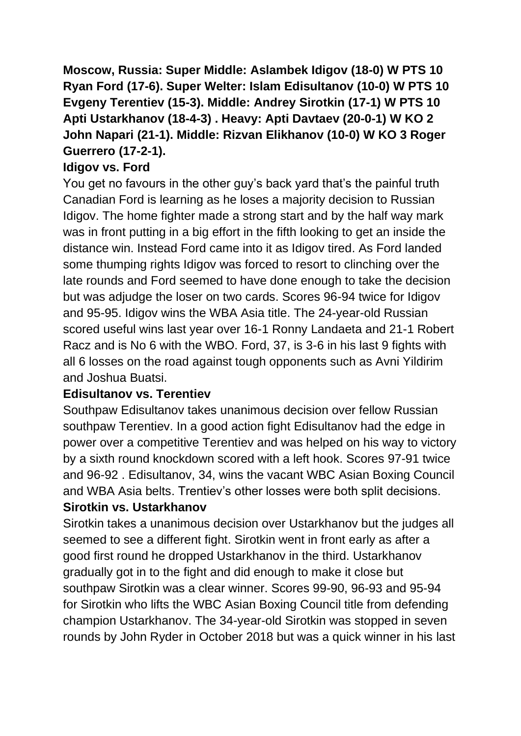**Moscow, Russia: Super Middle: Aslambek Idigov (18-0) W PTS 10 Ryan Ford (17-6). Super Welter: Islam Edisultanov (10-0) W PTS 10 Evgeny Terentiev (15-3). Middle: Andrey Sirotkin (17-1) W PTS 10 Apti Ustarkhanov (18-4-3) . Heavy: Apti Davtaev (20-0-1) W KO 2 John Napari (21-1). Middle: Rizvan Elikhanov (10-0) W KO 3 Roger Guerrero (17-2-1).**

## **Idigov vs. Ford**

You get no favours in the other guy's back yard that's the painful truth Canadian Ford is learning as he loses a majority decision to Russian Idigov. The home fighter made a strong start and by the half way mark was in front putting in a big effort in the fifth looking to get an inside the distance win. Instead Ford came into it as Idigov tired. As Ford landed some thumping rights Idigov was forced to resort to clinching over the late rounds and Ford seemed to have done enough to take the decision but was adjudge the loser on two cards. Scores 96-94 twice for Idigov and 95-95. Idigov wins the WBA Asia title. The 24-year-old Russian scored useful wins last year over 16-1 Ronny Landaeta and 21-1 Robert Racz and is No 6 with the WBO. Ford, 37, is 3-6 in his last 9 fights with all 6 losses on the road against tough opponents such as Avni Yildirim and Joshua Buatsi.

# **Edisultanov vs. Terentiev**

Southpaw Edisultanov takes unanimous decision over fellow Russian southpaw Terentiev. In a good action fight Edisultanov had the edge in power over a competitive Terentiev and was helped on his way to victory by a sixth round knockdown scored with a left hook. Scores 97-91 twice and 96-92 . Edisultanov, 34, wins the vacant WBC Asian Boxing Council and WBA Asia belts. Trentiev's other losses were both split decisions. **Sirotkin vs. Ustarkhanov**

Sirotkin takes a unanimous decision over Ustarkhanov but the judges all seemed to see a different fight. Sirotkin went in front early as after a good first round he dropped Ustarkhanov in the third. Ustarkhanov gradually got in to the fight and did enough to make it close but southpaw Sirotkin was a clear winner. Scores 99-90, 96-93 and 95-94 for Sirotkin who lifts the WBC Asian Boxing Council title from defending champion Ustarkhanov. The 34-year-old Sirotkin was stopped in seven rounds by John Ryder in October 2018 but was a quick winner in his last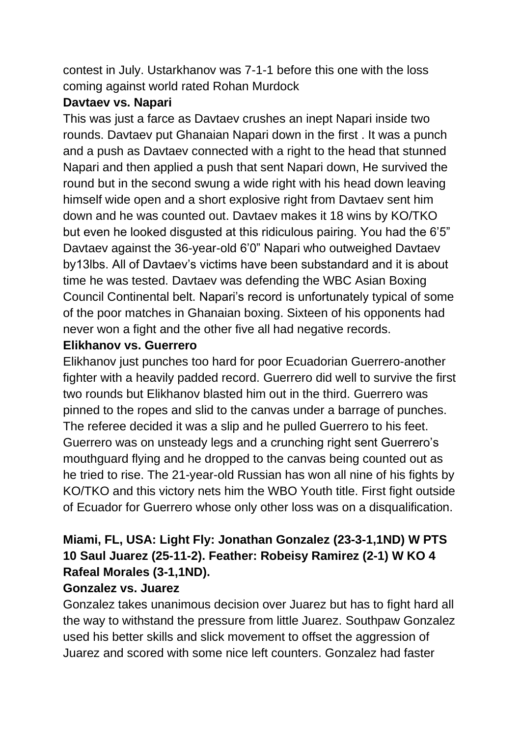contest in July. Ustarkhanov was 7-1-1 before this one with the loss coming against world rated Rohan Murdock

#### **Davtaev vs. Napari**

This was just a farce as Davtaev crushes an inept Napari inside two rounds. Davtaev put Ghanaian Napari down in the first . It was a punch and a push as Davtaev connected with a right to the head that stunned Napari and then applied a push that sent Napari down, He survived the round but in the second swung a wide right with his head down leaving himself wide open and a short explosive right from Davtaev sent him down and he was counted out. Davtaev makes it 18 wins by KO/TKO but even he looked disgusted at this ridiculous pairing. You had the 6'5" Davtaev against the 36-year-old 6'0" Napari who outweighed Davtaev by13lbs. All of Davtaev's victims have been substandard and it is about time he was tested. Davtaev was defending the WBC Asian Boxing Council Continental belt. Napari's record is unfortunately typical of some of the poor matches in Ghanaian boxing. Sixteen of his opponents had never won a fight and the other five all had negative records.

### **Elikhanov vs. Guerrero**

Elikhanov just punches too hard for poor Ecuadorian Guerrero-another fighter with a heavily padded record. Guerrero did well to survive the first two rounds but Elikhanov blasted him out in the third. Guerrero was pinned to the ropes and slid to the canvas under a barrage of punches. The referee decided it was a slip and he pulled Guerrero to his feet. Guerrero was on unsteady legs and a crunching right sent Guerrero's mouthguard flying and he dropped to the canvas being counted out as he tried to rise. The 21-year-old Russian has won all nine of his fights by KO/TKO and this victory nets him the WBO Youth title. First fight outside of Ecuador for Guerrero whose only other loss was on a disqualification.

# **Miami, FL, USA: Light Fly: Jonathan Gonzalez (23-3-1,1ND) W PTS 10 Saul Juarez (25-11-2). Feather: Robeisy Ramirez (2-1) W KO 4 Rafeal Morales (3-1,1ND).**

### **Gonzalez vs. Juarez**

Gonzalez takes unanimous decision over Juarez but has to fight hard all the way to withstand the pressure from little Juarez. Southpaw Gonzalez used his better skills and slick movement to offset the aggression of Juarez and scored with some nice left counters. Gonzalez had faster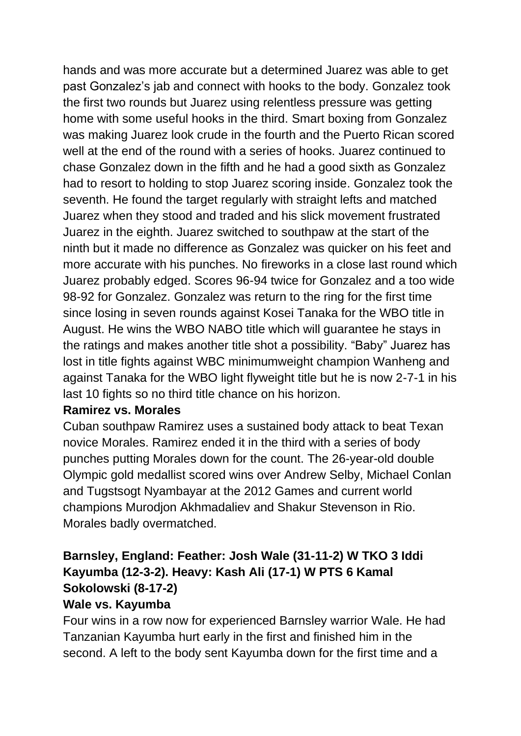hands and was more accurate but a determined Juarez was able to get past Gonzalez's jab and connect with hooks to the body. Gonzalez took the first two rounds but Juarez using relentless pressure was getting home with some useful hooks in the third. Smart boxing from Gonzalez was making Juarez look crude in the fourth and the Puerto Rican scored well at the end of the round with a series of hooks. Juarez continued to chase Gonzalez down in the fifth and he had a good sixth as Gonzalez had to resort to holding to stop Juarez scoring inside. Gonzalez took the seventh. He found the target regularly with straight lefts and matched Juarez when they stood and traded and his slick movement frustrated Juarez in the eighth. Juarez switched to southpaw at the start of the ninth but it made no difference as Gonzalez was quicker on his feet and more accurate with his punches. No fireworks in a close last round which Juarez probably edged. Scores 96-94 twice for Gonzalez and a too wide 98-92 for Gonzalez. Gonzalez was return to the ring for the first time since losing in seven rounds against Kosei Tanaka for the WBO title in August. He wins the WBO NABO title which will guarantee he stays in the ratings and makes another title shot a possibility. "Baby" Juarez has lost in title fights against WBC minimumweight champion Wanheng and against Tanaka for the WBO light flyweight title but he is now 2-7-1 in his last 10 fights so no third title chance on his horizon.

#### **Ramirez vs. Morales**

Cuban southpaw Ramirez uses a sustained body attack to beat Texan novice Morales. Ramirez ended it in the third with a series of body punches putting Morales down for the count. The 26-year-old double Olympic gold medallist scored wins over Andrew Selby, Michael Conlan and Tugstsogt Nyambayar at the 2012 Games and current world champions Murodjon Akhmadaliev and Shakur Stevenson in Rio. Morales badly overmatched.

# **Barnsley, England: Feather: Josh Wale (31-11-2) W TKO 3 Iddi Kayumba (12-3-2). Heavy: Kash Ali (17-1) W PTS 6 Kamal Sokolowski (8-17-2)**

#### **Wale vs. Kayumba**

Four wins in a row now for experienced Barnsley warrior Wale. He had Tanzanian Kayumba hurt early in the first and finished him in the second. A left to the body sent Kayumba down for the first time and a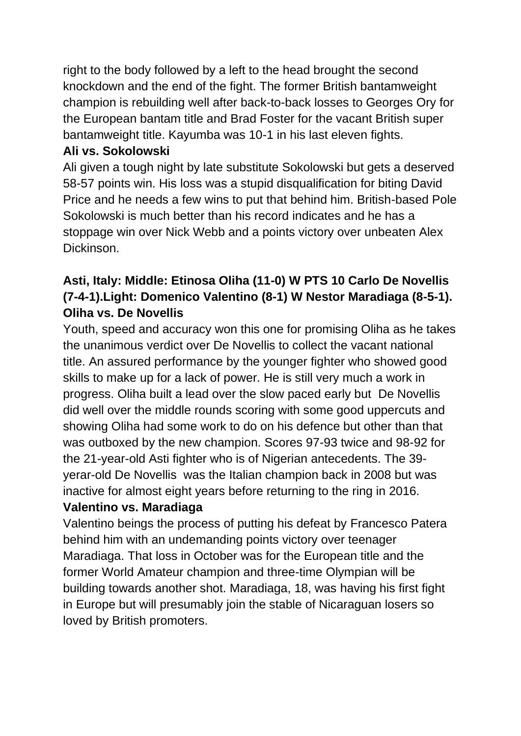right to the body followed by a left to the head brought the second knockdown and the end of the fight. The former British bantamweight champion is rebuilding well after back-to-back losses to Georges Ory for the European bantam title and Brad Foster for the vacant British super bantamweight title. Kayumba was 10-1 in his last eleven fights.

## **Ali vs. Sokolowski**

Ali given a tough night by late substitute Sokolowski but gets a deserved 58-57 points win. His loss was a stupid disqualification for biting David Price and he needs a few wins to put that behind him. British-based Pole Sokolowski is much better than his record indicates and he has a stoppage win over Nick Webb and a points victory over unbeaten Alex Dickinson.

# **Asti, Italy: Middle: Etinosa Oliha (11-0) W PTS 10 Carlo De Novellis (7-4-1).Light: Domenico Valentino (8-1) W Nestor Maradiaga (8-5-1). Oliha vs. De Novellis**

Youth, speed and accuracy won this one for promising Oliha as he takes the unanimous verdict over De Novellis to collect the vacant national title. An assured performance by the younger fighter who showed good skills to make up for a lack of power. He is still very much a work in progress. Oliha built a lead over the slow paced early but De Novellis did well over the middle rounds scoring with some good uppercuts and showing Oliha had some work to do on his defence but other than that was outboxed by the new champion. Scores 97-93 twice and 98-92 for the 21-year-old Asti fighter who is of Nigerian antecedents. The 39 yerar-old De Novellis was the Italian champion back in 2008 but was inactive for almost eight years before returning to the ring in 2016.

### **Valentino vs. Maradiaga**

Valentino beings the process of putting his defeat by Francesco Patera behind him with an undemanding points victory over teenager Maradiaga. That loss in October was for the European title and the former World Amateur champion and three-time Olympian will be building towards another shot. Maradiaga, 18, was having his first fight in Europe but will presumably join the stable of Nicaraguan losers so loved by British promoters.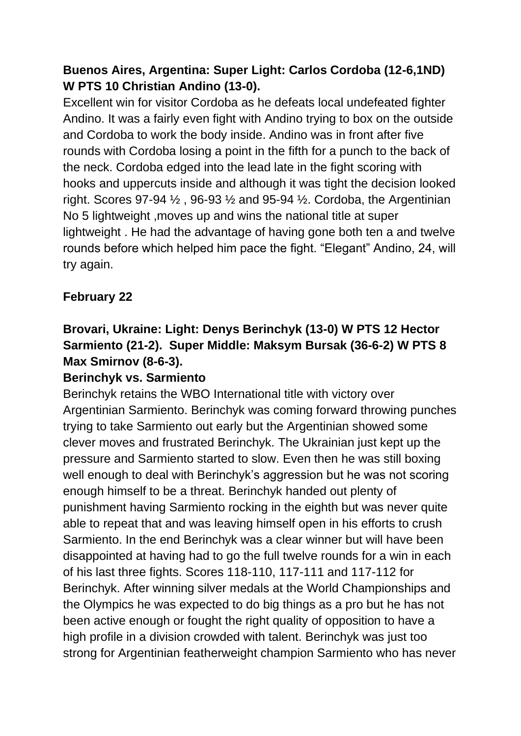# **Buenos Aires, Argentina: Super Light: Carlos Cordoba (12-6,1ND) W PTS 10 Christian Andino (13-0).**

Excellent win for visitor Cordoba as he defeats local undefeated fighter Andino. It was a fairly even fight with Andino trying to box on the outside and Cordoba to work the body inside. Andino was in front after five rounds with Cordoba losing a point in the fifth for a punch to the back of the neck. Cordoba edged into the lead late in the fight scoring with hooks and uppercuts inside and although it was tight the decision looked right. Scores 97-94  $\frac{1}{2}$ , 96-93  $\frac{1}{2}$  and 95-94  $\frac{1}{2}$ . Cordoba, the Argentinian No 5 lightweight ,moves up and wins the national title at super lightweight . He had the advantage of having gone both ten a and twelve rounds before which helped him pace the fight. "Elegant" Andino, 24, will try again.

# **February 22**

# **Brovari, Ukraine: Light: Denys Berinchyk (13-0) W PTS 12 Hector Sarmiento (21-2). Super Middle: Maksym Bursak (36-6-2) W PTS 8 Max Smirnov (8-6-3).**

### **Berinchyk vs. Sarmiento**

Berinchyk retains the WBO International title with victory over Argentinian Sarmiento. Berinchyk was coming forward throwing punches trying to take Sarmiento out early but the Argentinian showed some clever moves and frustrated Berinchyk. The Ukrainian just kept up the pressure and Sarmiento started to slow. Even then he was still boxing well enough to deal with Berinchyk's aggression but he was not scoring enough himself to be a threat. Berinchyk handed out plenty of punishment having Sarmiento rocking in the eighth but was never quite able to repeat that and was leaving himself open in his efforts to crush Sarmiento. In the end Berinchyk was a clear winner but will have been disappointed at having had to go the full twelve rounds for a win in each of his last three fights. Scores 118-110, 117-111 and 117-112 for Berinchyk. After winning silver medals at the World Championships and the Olympics he was expected to do big things as a pro but he has not been active enough or fought the right quality of opposition to have a high profile in a division crowded with talent. Berinchyk was just too strong for Argentinian featherweight champion Sarmiento who has never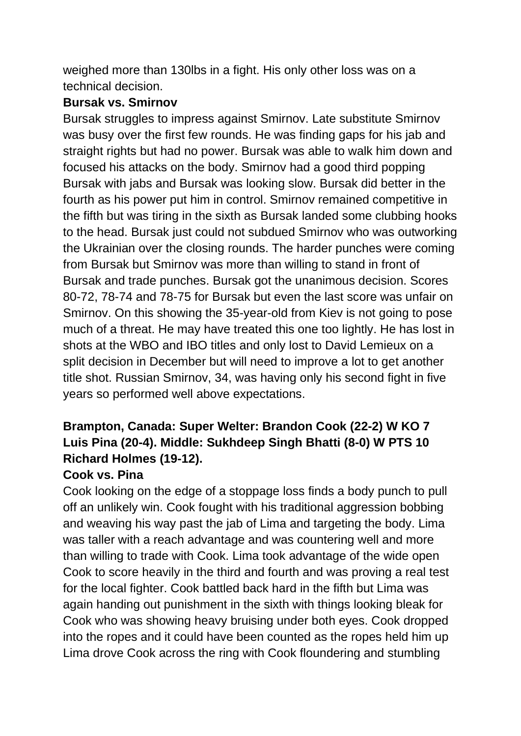weighed more than 130lbs in a fight. His only other loss was on a technical decision.

#### **Bursak vs. Smirnov**

Bursak struggles to impress against Smirnov. Late substitute Smirnov was busy over the first few rounds. He was finding gaps for his jab and straight rights but had no power. Bursak was able to walk him down and focused his attacks on the body. Smirnov had a good third popping Bursak with jabs and Bursak was looking slow. Bursak did better in the fourth as his power put him in control. Smirnov remained competitive in the fifth but was tiring in the sixth as Bursak landed some clubbing hooks to the head. Bursak just could not subdued Smirnov who was outworking the Ukrainian over the closing rounds. The harder punches were coming from Bursak but Smirnov was more than willing to stand in front of Bursak and trade punches. Bursak got the unanimous decision. Scores 80-72, 78-74 and 78-75 for Bursak but even the last score was unfair on Smirnov. On this showing the 35-year-old from Kiev is not going to pose much of a threat. He may have treated this one too lightly. He has lost in shots at the WBO and IBO titles and only lost to David Lemieux on a split decision in December but will need to improve a lot to get another title shot. Russian Smirnov, 34, was having only his second fight in five years so performed well above expectations.

# **Brampton, Canada: Super Welter: Brandon Cook (22-2) W KO 7 Luis Pina (20-4). Middle: Sukhdeep Singh Bhatti (8-0) W PTS 10 Richard Holmes (19-12).**

### **Cook vs. Pina**

Cook looking on the edge of a stoppage loss finds a body punch to pull off an unlikely win. Cook fought with his traditional aggression bobbing and weaving his way past the jab of Lima and targeting the body. Lima was taller with a reach advantage and was countering well and more than willing to trade with Cook. Lima took advantage of the wide open Cook to score heavily in the third and fourth and was proving a real test for the local fighter. Cook battled back hard in the fifth but Lima was again handing out punishment in the sixth with things looking bleak for Cook who was showing heavy bruising under both eyes. Cook dropped into the ropes and it could have been counted as the ropes held him up Lima drove Cook across the ring with Cook floundering and stumbling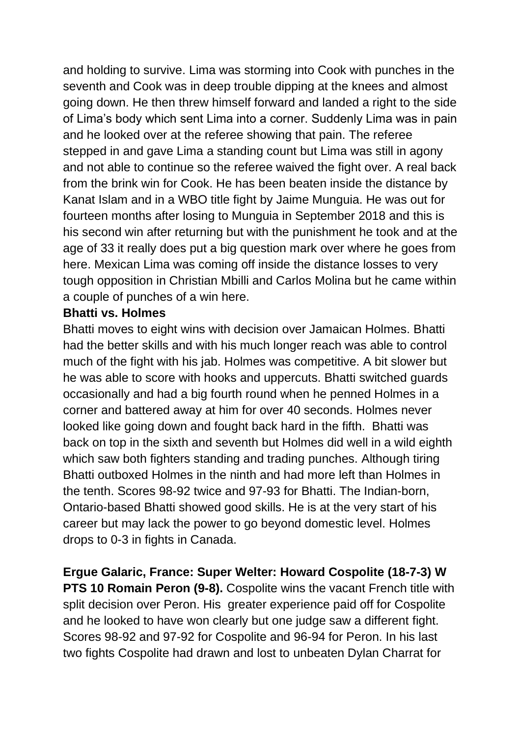and holding to survive. Lima was storming into Cook with punches in the seventh and Cook was in deep trouble dipping at the knees and almost going down. He then threw himself forward and landed a right to the side of Lima's body which sent Lima into a corner. Suddenly Lima was in pain and he looked over at the referee showing that pain. The referee stepped in and gave Lima a standing count but Lima was still in agony and not able to continue so the referee waived the fight over. A real back from the brink win for Cook. He has been beaten inside the distance by Kanat Islam and in a WBO title fight by Jaime Munguia. He was out for fourteen months after losing to Munguia in September 2018 and this is his second win after returning but with the punishment he took and at the age of 33 it really does put a big question mark over where he goes from here. Mexican Lima was coming off inside the distance losses to very tough opposition in Christian Mbilli and Carlos Molina but he came within a couple of punches of a win here.

#### **Bhatti vs. Holmes**

Bhatti moves to eight wins with decision over Jamaican Holmes. Bhatti had the better skills and with his much longer reach was able to control much of the fight with his jab. Holmes was competitive. A bit slower but he was able to score with hooks and uppercuts. Bhatti switched guards occasionally and had a big fourth round when he penned Holmes in a corner and battered away at him for over 40 seconds. Holmes never looked like going down and fought back hard in the fifth. Bhatti was back on top in the sixth and seventh but Holmes did well in a wild eighth which saw both fighters standing and trading punches. Although tiring Bhatti outboxed Holmes in the ninth and had more left than Holmes in the tenth. Scores 98-92 twice and 97-93 for Bhatti. The Indian-born, Ontario-based Bhatti showed good skills. He is at the very start of his career but may lack the power to go beyond domestic level. Holmes drops to 0-3 in fights in Canada.

**Ergue Galaric, France: Super Welter: Howard Cospolite (18-7-3) W PTS 10 Romain Peron (9-8).** Cospolite wins the vacant French title with split decision over Peron. His greater experience paid off for Cospolite and he looked to have won clearly but one judge saw a different fight. Scores 98-92 and 97-92 for Cospolite and 96-94 for Peron. In his last two fights Cospolite had drawn and lost to unbeaten Dylan Charrat for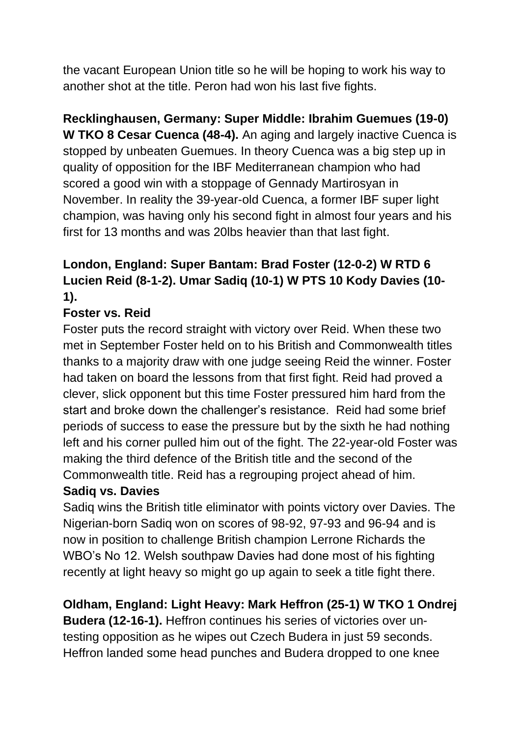the vacant European Union title so he will be hoping to work his way to another shot at the title. Peron had won his last five fights.

**Recklinghausen, Germany: Super Middle: Ibrahim Guemues (19-0) W TKO 8 Cesar Cuenca (48-4).** An aging and largely inactive Cuenca is stopped by unbeaten Guemues. In theory Cuenca was a big step up in quality of opposition for the IBF Mediterranean champion who had scored a good win with a stoppage of Gennady Martirosyan in November. In reality the 39-year-old Cuenca, a former IBF super light champion, was having only his second fight in almost four years and his first for 13 months and was 20lbs heavier than that last fight.

# **London, England: Super Bantam: Brad Foster (12-0-2) W RTD 6 Lucien Reid (8-1-2). Umar Sadiq (10-1) W PTS 10 Kody Davies (10- 1).**

# **Foster vs. Reid**

Foster puts the record straight with victory over Reid. When these two met in September Foster held on to his British and Commonwealth titles thanks to a majority draw with one judge seeing Reid the winner. Foster had taken on board the lessons from that first fight. Reid had proved a clever, slick opponent but this time Foster pressured him hard from the start and broke down the challenger's resistance. Reid had some brief periods of success to ease the pressure but by the sixth he had nothing left and his corner pulled him out of the fight. The 22-year-old Foster was making the third defence of the British title and the second of the Commonwealth title. Reid has a regrouping project ahead of him.

### **Sadiq vs. Davies**

Sadiq wins the British title eliminator with points victory over Davies. The Nigerian-born Sadiq won on scores of 98-92, 97-93 and 96-94 and is now in position to challenge British champion Lerrone Richards the WBO's No 12. Welsh southpaw Davies had done most of his fighting recently at light heavy so might go up again to seek a title fight there.

**Oldham, England: Light Heavy: Mark Heffron (25-1) W TKO 1 Ondrej Budera (12-16-1).** Heffron continues his series of victories over untesting opposition as he wipes out Czech Budera in just 59 seconds.

Heffron landed some head punches and Budera dropped to one knee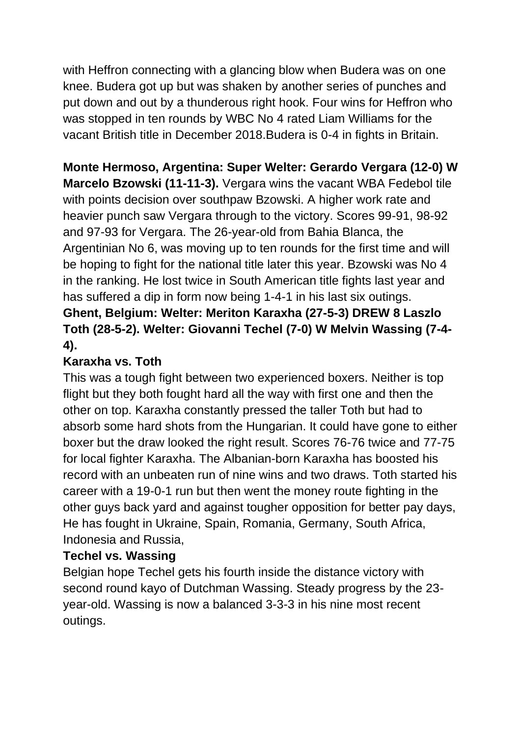with Heffron connecting with a glancing blow when Budera was on one knee. Budera got up but was shaken by another series of punches and put down and out by a thunderous right hook. Four wins for Heffron who was stopped in ten rounds by WBC No 4 rated Liam Williams for the vacant British title in December 2018.Budera is 0-4 in fights in Britain.

# **Monte Hermoso, Argentina: Super Welter: Gerardo Vergara (12-0) W Marcelo Bzowski (11-11-3).** Vergara wins the vacant WBA Fedebol tile with points decision over southpaw Bzowski. A higher work rate and heavier punch saw Vergara through to the victory. Scores 99-91, 98-92 and 97-93 for Vergara. The 26-year-old from Bahia Blanca, the Argentinian No 6, was moving up to ten rounds for the first time and will be hoping to fight for the national title later this year. Bzowski was No 4 in the ranking. He lost twice in South American title fights last year and has suffered a dip in form now being 1-4-1 in his last six outings. **Ghent, Belgium: Welter: Meriton Karaxha (27-5-3) DREW 8 Laszlo Toth (28-5-2). Welter: Giovanni Techel (7-0) W Melvin Wassing (7-4- 4).**

# **Karaxha vs. Toth**

This was a tough fight between two experienced boxers. Neither is top flight but they both fought hard all the way with first one and then the other on top. Karaxha constantly pressed the taller Toth but had to absorb some hard shots from the Hungarian. It could have gone to either boxer but the draw looked the right result. Scores 76-76 twice and 77-75 for local fighter Karaxha. The Albanian-born Karaxha has boosted his record with an unbeaten run of nine wins and two draws. Toth started his career with a 19-0-1 run but then went the money route fighting in the other guys back yard and against tougher opposition for better pay days, He has fought in Ukraine, Spain, Romania, Germany, South Africa, Indonesia and Russia,

# **Techel vs. Wassing**

Belgian hope Techel gets his fourth inside the distance victory with second round kayo of Dutchman Wassing. Steady progress by the 23 year-old. Wassing is now a balanced 3-3-3 in his nine most recent outings.